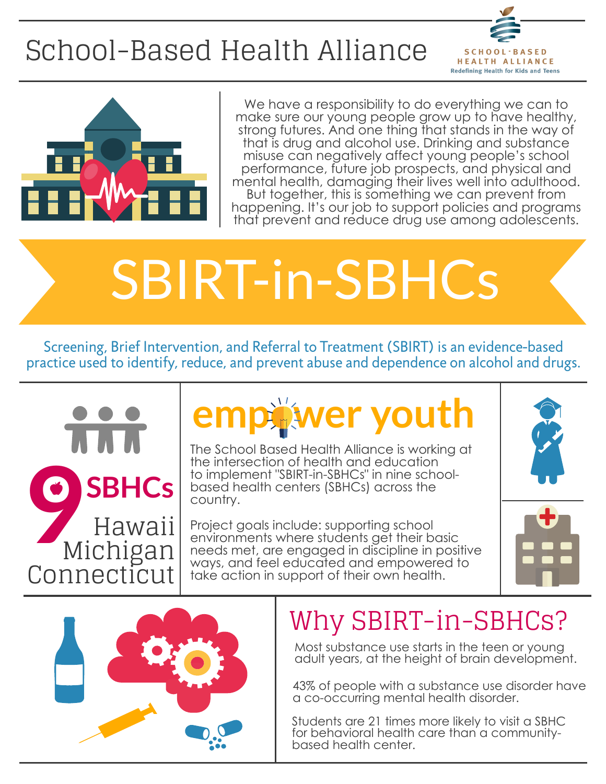# SBIRT-in-SBHCs



## [School-Based](http://www.sbh4all.org/) Health Alliance

 $SCH O O L \cdot B A S E D$ **HEALTH ALLIANCE Redefining Health for Kids and Teens** 



We have a responsibility to do everything we can to make sure our young people grow up to have healthy, strong futures. And one thing that stands in the way of that is drug and alcohol use. Drinking and substance misuse can negatively affect young people's school [performance,](http://frameworksinstitute.org/assets/files/adolescence_youth/reframing_adolescent_substance_use_playbook_2018.pdf) future job prospects, and physical and mental health, damaging their lives well into adulthood. But together, this is something we can prevent from happening. It's our job to support policies and programs that prevent and reduce drug use among adolescents.

The School Based Health Alliance is working at the intersection of health and education to implement "SBIRT-in-SBHCs" in nine schoolbased health centers (SBHCs) across the country.

> Most substance use starts in the teen or young adult years, at the height of brain [development.](https://www.adolescentsubstanceuse.org/)

## Why SBIRT-in-SBHCs?

Project goals include: supporting school environments where students get their basic [needs met, are engaged in discipline in positive](http://www.sbh4all.org/current_initiatives/sbirt-in-sbhcs/) ways, and feel educated and empowered to take action in support of their own health.



Hawaii Michigan Connecticut **9 SBHCs**

> 43% of people with a substance use disorder have a [co-occurring](https://www.adolescentsubstanceuse.org/) mental health disorder.

Students are 21 times more likely to visit a SBHC for behavioral health care than a [community](https://www.adolescentsubstanceuse.org/)based health center.

Screening, Brief Intervention, and Referral to Treatment (SBIRT) is an [evidence-based](https://www.samhsa.gov/sbirt) practice used to identify, reduce, and prevent abuse and dependence on alcohol and drugs.

## **empower youth**